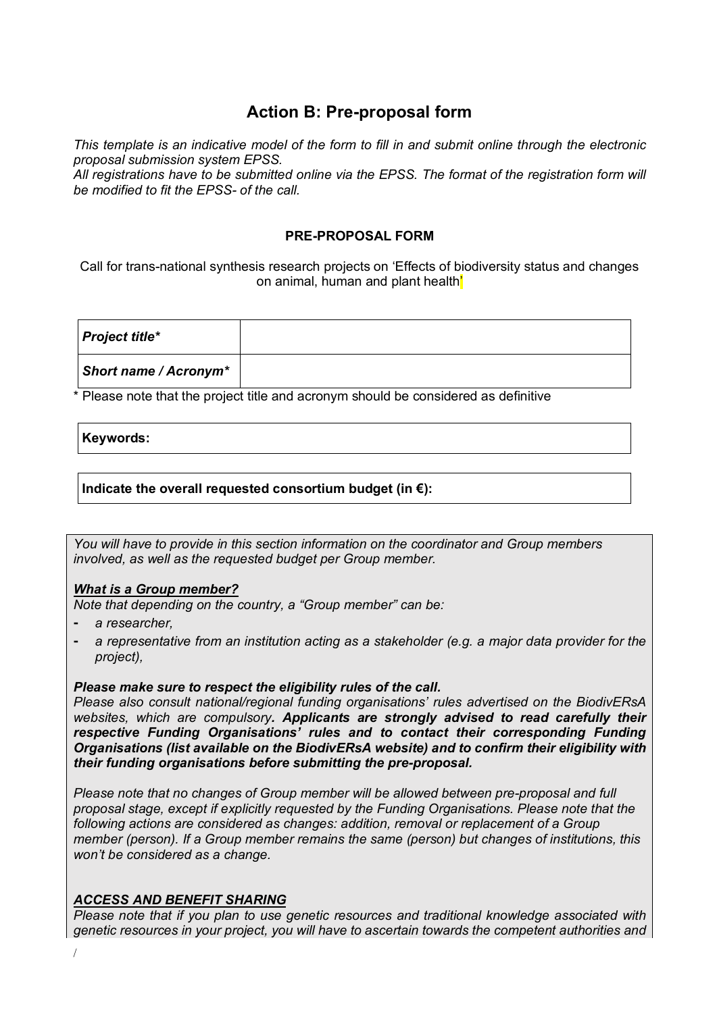## **Action B: Pre-proposal form**

*This template is an indicative model of the form to fill in and submit online through the electronic proposal submission system EPSS.*

*All registrations have to be submitted online via the EPSS. The format of the registration form will be modified to fit the EPSS- of the call.*

#### **PRE-PROPOSAL FORM**

Call for trans-national synthesis research projects on 'Effects of biodiversity status and changes on animal, human and plant health'

| <b>Project title*</b> |  |
|-----------------------|--|
| Short name / Acronym* |  |

\* Please note that the project title and acronym should be considered as definitive

#### **Keywords:**

#### **Indicate the overall requested consortium budget (in €):**

*You will have to provide in this section information on the coordinator and Group members involved, as well as the requested budget per Group member.* 

#### *What is a Group member?*

*Note that depending on the country, a "Group member" can be:*

- ⁃ *a researcher,*
- a representative from an institution acting as a stakeholder (e.g. a major data provider for the *project),*

#### *Please make sure to respect the eligibility rules of the call.*

*Please also consult national/regional funding organisations' rules advertised on the BiodivERsA websites, which are compulsory. Applicants are strongly advised to read carefully their respective Funding Organisations' rules and to contact their corresponding Funding Organisations (list available on the BiodivERsA website) and to confirm their eligibility with their funding organisations before submitting the pre-proposal.* 

*Please note that no changes of Group member will be allowed between pre-proposal and full proposal stage, except if explicitly requested by the Funding Organisations. Please note that the following actions are considered as changes: addition, removal or replacement of a Group member (person). If a Group member remains the same (person) but changes of institutions, this won't be considered as a change.* 

#### *ACCESS AND BENEFIT SHARING*

*Please note that if you plan to use genetic resources and traditional knowledge associated with genetic resources in your project, you will have to ascertain towards the competent authorities and*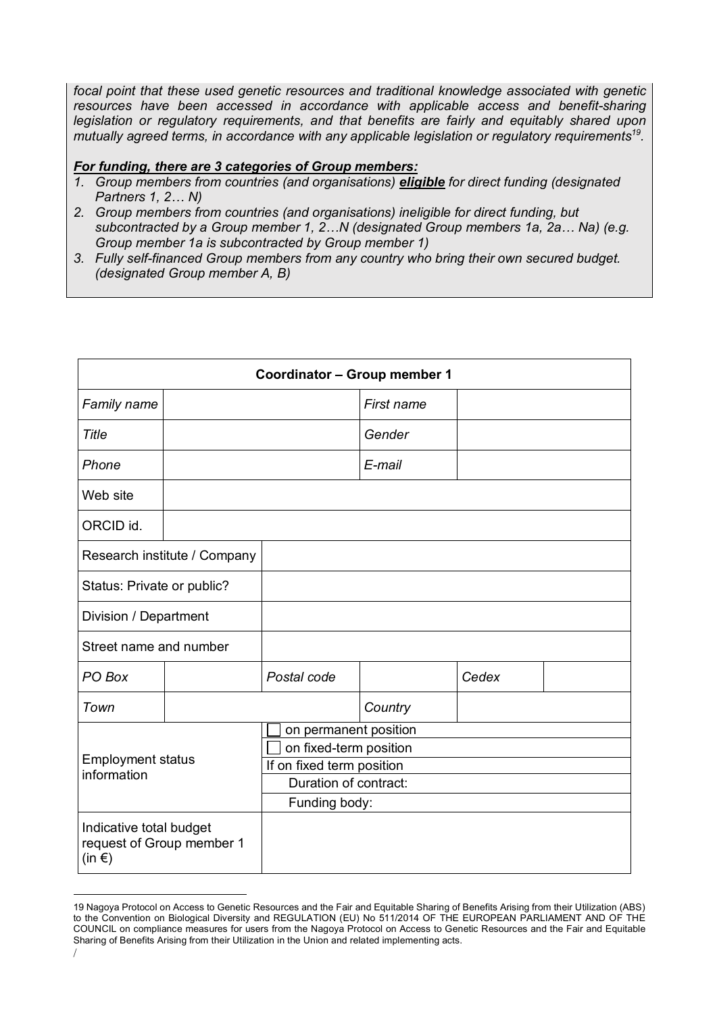*focal point that these used genetic resources and traditional knowledge associated with genetic*  resources have been accessed in accordance with applicable access and benefit-sharing *legislation or regulatory requirements, and that benefits are fairly and equitably shared upon mutually agreed terms, in accordance with any applicable legislation or regulatory requirements19.*

#### *For funding, there are 3 categories of Group members:*

- *1. Group members from countries (and organisations) eligible for direct funding (designated Partners 1, 2… N)*
- *2. Group members from countries (and organisations) ineligible for direct funding, but subcontracted by a Group member 1, 2…N (designated Group members 1a, 2a… Na) (e.g. Group member 1a is subcontracted by Group member 1)*
- *3. Fully self-financed Group members from any country who bring their own secured budget. (designated Group member A, B)*

|                                                                    | <b>Coordinator - Group member 1</b> |                                                                                                                        |            |       |  |  |
|--------------------------------------------------------------------|-------------------------------------|------------------------------------------------------------------------------------------------------------------------|------------|-------|--|--|
| Family name                                                        |                                     |                                                                                                                        | First name |       |  |  |
| Title                                                              |                                     |                                                                                                                        | Gender     |       |  |  |
| Phone                                                              |                                     |                                                                                                                        | E-mail     |       |  |  |
| Web site                                                           |                                     |                                                                                                                        |            |       |  |  |
| ORCID id.                                                          |                                     |                                                                                                                        |            |       |  |  |
|                                                                    | Research institute / Company        |                                                                                                                        |            |       |  |  |
| Status: Private or public?                                         |                                     |                                                                                                                        |            |       |  |  |
| Division / Department                                              |                                     |                                                                                                                        |            |       |  |  |
| Street name and number                                             |                                     |                                                                                                                        |            |       |  |  |
| PO Box                                                             |                                     | Postal code                                                                                                            |            | Cedex |  |  |
| Town                                                               |                                     |                                                                                                                        | Country    |       |  |  |
| <b>Employment status</b><br>information                            |                                     | on permanent position<br>on fixed-term position<br>If on fixed term position<br>Duration of contract:<br>Funding body: |            |       |  |  |
| Indicative total budget<br>request of Group member 1<br>$(in \in)$ |                                     |                                                                                                                        |            |       |  |  |

 $\overline{a}$ 19 Nagoya Protocol on Access to Genetic Resources and the Fair and Equitable Sharing of Benefits Arising from their Utilization (ABS) to the Convention on Biological Diversity and REGULATION (EU) No 511/2014 OF THE EUROPEAN PARLIAMENT AND OF THE COUNCIL on compliance measures for users from the Nagoya Protocol on Access to Genetic Resources and the Fair and Equitable Sharing of Benefits Arising from their Utilization in the Union and related implementing acts.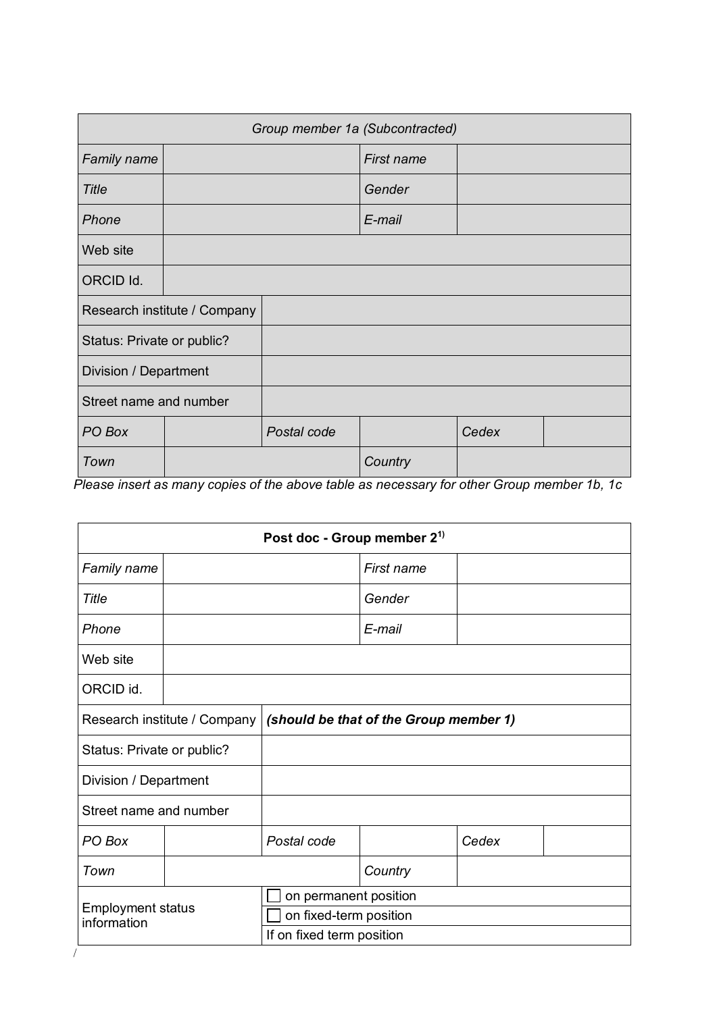| Group member 1a (Subcontracted) |  |             |            |       |  |
|---------------------------------|--|-------------|------------|-------|--|
| <b>Family name</b>              |  |             | First name |       |  |
| <b>Title</b>                    |  |             | Gender     |       |  |
| Phone                           |  |             | E-mail     |       |  |
| Web site                        |  |             |            |       |  |
| ORCID Id.                       |  |             |            |       |  |
| Research institute / Company    |  |             |            |       |  |
| Status: Private or public?      |  |             |            |       |  |
| Division / Department           |  |             |            |       |  |
| Street name and number          |  |             |            |       |  |
| PO Box                          |  | Postal code |            | Cedex |  |
| Town                            |  |             | Country    |       |  |

*Please insert as many copies of the above table as necessary for other Group member 1b, 1c*

|                                                                        | Post doc - Group member 2 <sup>1)</sup> |                           |            |       |  |  |
|------------------------------------------------------------------------|-----------------------------------------|---------------------------|------------|-------|--|--|
| Family name                                                            |                                         |                           | First name |       |  |  |
| Title                                                                  |                                         |                           | Gender     |       |  |  |
| Phone                                                                  |                                         |                           | E-mail     |       |  |  |
| Web site                                                               |                                         |                           |            |       |  |  |
| ORCID id.                                                              |                                         |                           |            |       |  |  |
| Research institute / Company<br>(should be that of the Group member 1) |                                         |                           |            |       |  |  |
|                                                                        | Status: Private or public?              |                           |            |       |  |  |
| Division / Department                                                  |                                         |                           |            |       |  |  |
| Street name and number                                                 |                                         |                           |            |       |  |  |
| PO Box                                                                 |                                         | Postal code               |            | Cedex |  |  |
| Town                                                                   |                                         |                           | Country    |       |  |  |
|                                                                        |                                         | on permanent position     |            |       |  |  |
| <b>Employment status</b><br>information                                |                                         | on fixed-term position    |            |       |  |  |
|                                                                        |                                         | If on fixed term position |            |       |  |  |
|                                                                        |                                         |                           |            |       |  |  |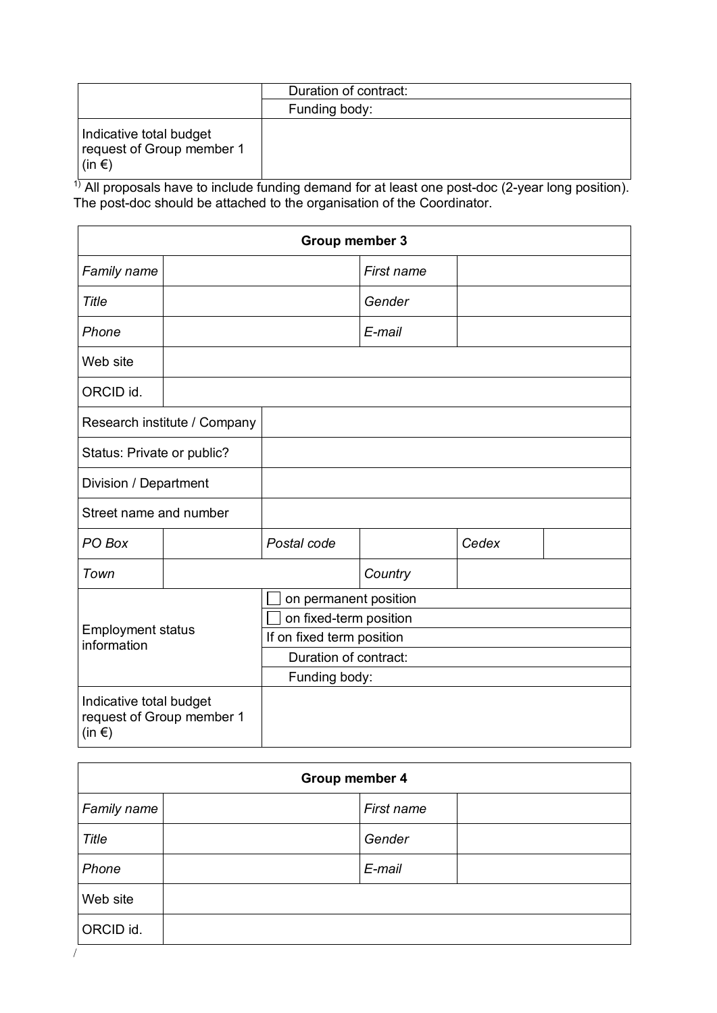|                                                                         | Duration of contract: |
|-------------------------------------------------------------------------|-----------------------|
|                                                                         | Funding body:         |
| Indicative total budget<br>request of Group member 1<br>$\sin \epsilon$ |                       |

 $1)$  All proposals have to include funding demand for at least one post-doc (2-year long position). The post-doc should be attached to the organisation of the Coordinator.

|                                         | Group member 3               |                           |            |       |  |  |  |
|-----------------------------------------|------------------------------|---------------------------|------------|-------|--|--|--|
| Family name                             |                              |                           | First name |       |  |  |  |
| Title                                   |                              |                           | Gender     |       |  |  |  |
| Phone                                   |                              |                           | E-mail     |       |  |  |  |
| Web site                                |                              |                           |            |       |  |  |  |
| ORCID id.                               |                              |                           |            |       |  |  |  |
|                                         | Research institute / Company |                           |            |       |  |  |  |
| Status: Private or public?              |                              |                           |            |       |  |  |  |
| Division / Department                   |                              |                           |            |       |  |  |  |
| Street name and number                  |                              |                           |            |       |  |  |  |
| PO Box                                  |                              | Postal code               |            | Cedex |  |  |  |
| Town                                    |                              |                           | Country    |       |  |  |  |
|                                         |                              | on permanent position     |            |       |  |  |  |
|                                         |                              | on fixed-term position    |            |       |  |  |  |
| <b>Employment status</b><br>information |                              | If on fixed term position |            |       |  |  |  |
|                                         |                              | Duration of contract:     |            |       |  |  |  |
|                                         |                              | Funding body:             |            |       |  |  |  |
| Indicative total budget<br>$(in \in)$   | request of Group member 1    |                           |            |       |  |  |  |

|                    | <b>Group member 4</b> |            |  |  |  |
|--------------------|-----------------------|------------|--|--|--|
| <b>Family name</b> |                       | First name |  |  |  |
| Title              |                       | Gender     |  |  |  |
| Phone              |                       | E-mail     |  |  |  |
| Web site           |                       |            |  |  |  |
| ORCID id.          |                       |            |  |  |  |
|                    |                       |            |  |  |  |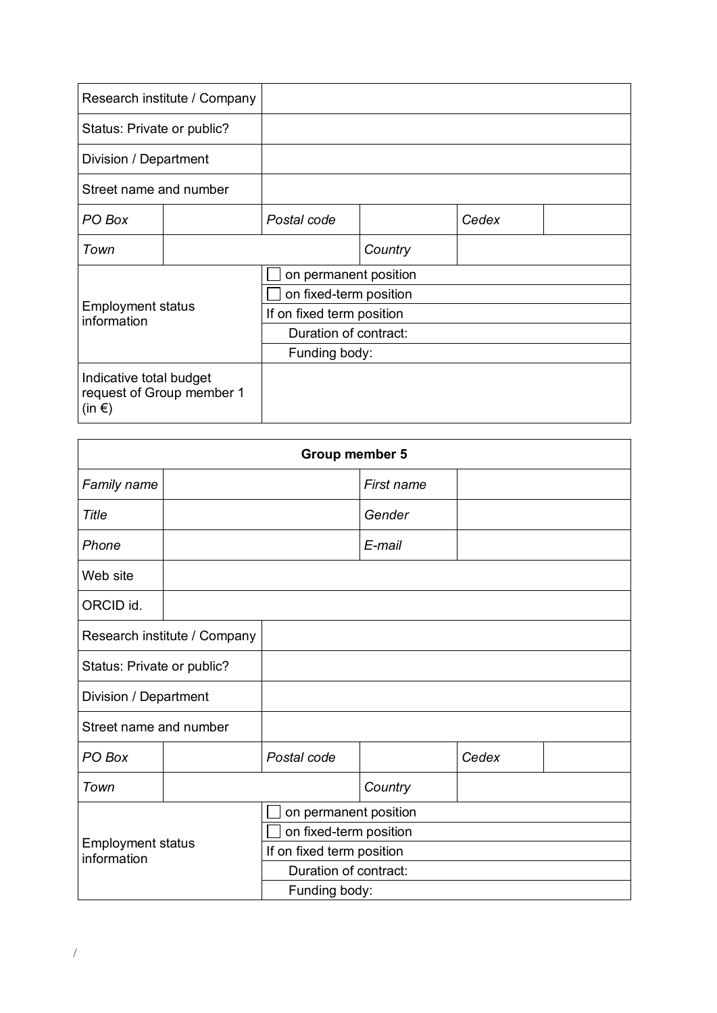| Research institute / Company                                             |  |                           |         |       |  |  |
|--------------------------------------------------------------------------|--|---------------------------|---------|-------|--|--|
| Status: Private or public?                                               |  |                           |         |       |  |  |
| Division / Department                                                    |  |                           |         |       |  |  |
| Street name and number                                                   |  |                           |         |       |  |  |
| PO Box                                                                   |  | Postal code               |         | Cedex |  |  |
| Town                                                                     |  |                           | Country |       |  |  |
|                                                                          |  | on permanent position     |         |       |  |  |
|                                                                          |  | on fixed-term position    |         |       |  |  |
| <b>Employment status</b><br>information                                  |  | If on fixed term position |         |       |  |  |
|                                                                          |  | Duration of contract:     |         |       |  |  |
|                                                                          |  | Funding body:             |         |       |  |  |
| Indicative total budget<br>request of Group member 1<br>(in $\epsilon$ ) |  |                           |         |       |  |  |

|                                         | Group member 5 |                           |            |       |  |  |
|-----------------------------------------|----------------|---------------------------|------------|-------|--|--|
| Family name                             |                |                           | First name |       |  |  |
| Title                                   |                |                           | Gender     |       |  |  |
| Phone                                   |                |                           | E-mail     |       |  |  |
| Web site                                |                |                           |            |       |  |  |
| ORCID id.                               |                |                           |            |       |  |  |
| Research institute / Company            |                |                           |            |       |  |  |
| Status: Private or public?              |                |                           |            |       |  |  |
| Division / Department                   |                |                           |            |       |  |  |
| Street name and number                  |                |                           |            |       |  |  |
| PO Box                                  |                | Postal code               |            | Cedex |  |  |
| Town                                    |                |                           | Country    |       |  |  |
|                                         |                | on permanent position     |            |       |  |  |
|                                         |                | on fixed-term position    |            |       |  |  |
| <b>Employment status</b><br>information |                | If on fixed term position |            |       |  |  |
|                                         |                | Duration of contract:     |            |       |  |  |
|                                         |                | Funding body:             |            |       |  |  |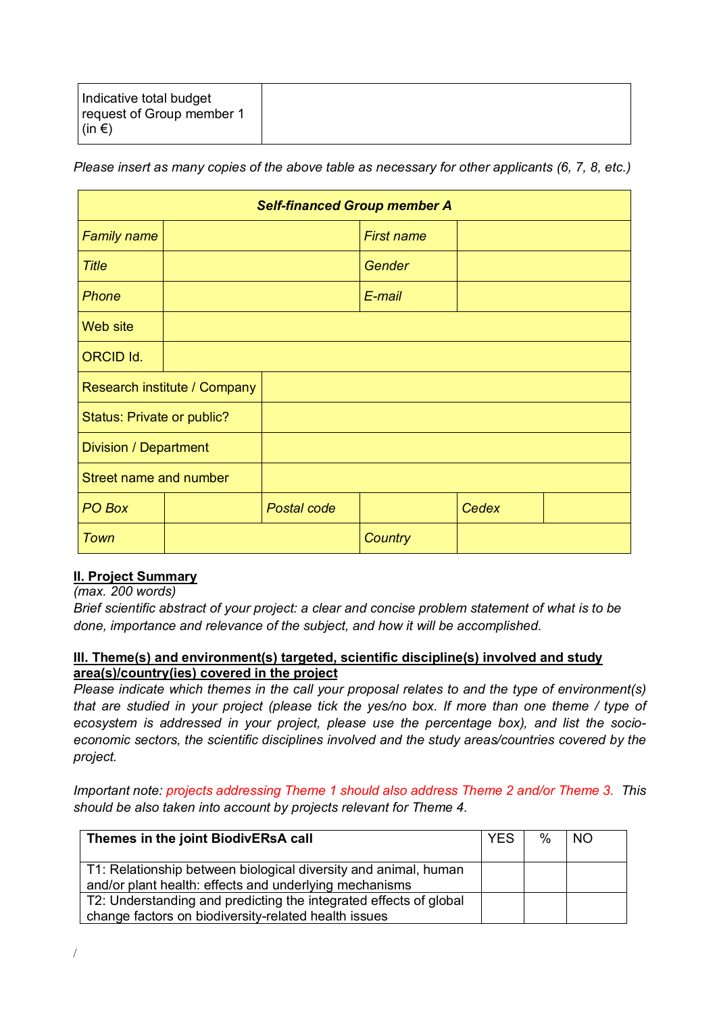|--|

*Please insert as many copies of the above table as necessary for other applicants (6, 7, 8, etc.)*

|                               | <b>Self-financed Group member A</b> |             |                   |       |  |  |
|-------------------------------|-------------------------------------|-------------|-------------------|-------|--|--|
| <b>Family name</b>            |                                     |             | <b>First name</b> |       |  |  |
| <b>Title</b>                  |                                     |             | Gender            |       |  |  |
| Phone                         |                                     |             | E-mail            |       |  |  |
| Web site                      |                                     |             |                   |       |  |  |
| <b>ORCID Id.</b>              |                                     |             |                   |       |  |  |
|                               | Research institute / Company        |             |                   |       |  |  |
|                               | Status: Private or public?          |             |                   |       |  |  |
| Division / Department         |                                     |             |                   |       |  |  |
| <b>Street name and number</b> |                                     |             |                   |       |  |  |
| PO Box                        |                                     | Postal code |                   | Cedex |  |  |
| Town                          |                                     |             | Country           |       |  |  |

## **II. Project Summary**

*(max. 200 words)*

*Brief scientific abstract of your project: a clear and concise problem statement of what is to be done, importance and relevance of the subject, and how it will be accomplished.*

## **III. Theme(s) and environment(s) targeted, scientific discipline(s) involved and study area(s)/country(ies) covered in the project**

*Please indicate which themes in the call your proposal relates to and the type of environment(s) that are studied in your project (please tick the yes/no box. If more than one theme / type of ecosystem is addressed in your project, please use the percentage box), and list the socioeconomic sectors, the scientific disciplines involved and the study areas/countries covered by the project.*

*Important note: projects addressing Theme 1 should also address Theme 2 and/or Theme 3. This should be also taken into account by projects relevant for Theme 4.*

| Themes in the joint BiodivERsA call                                                                                       | <b>YES</b> | % | <b>NO</b> |
|---------------------------------------------------------------------------------------------------------------------------|------------|---|-----------|
| T1: Relationship between biological diversity and animal, human<br>and/or plant health: effects and underlying mechanisms |            |   |           |
| T2: Understanding and predicting the integrated effects of global<br>change factors on biodiversity-related health issues |            |   |           |